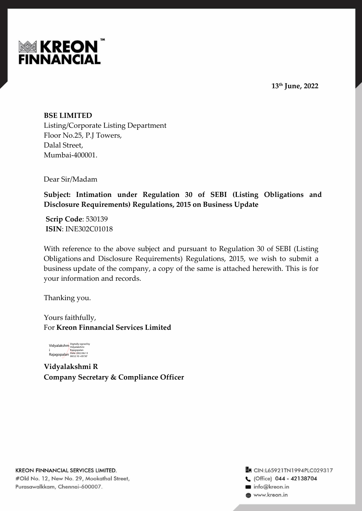



**BSE LIMITED** Listing/Corporate Listing Department Floor No.25, P.J Towers, Dalal Street, Mumbai-400001.

Dear Sir/Madam

**Subject: Intimation under Regulation 30 of SEBI (Listing Obligations and Disclosure Requirements) Regulations, 2015 on Business Update**

**Scrip Code**: 530139 **ISIN**: INE302C01018

With reference to the above subject and pursuant to Regulation 30 of SEBI (Listing Obligations and Disclosure Requirements) Regulations, 2015, we wish to submit a business update of the company, a copy of the same is attached herewith. This is for your information and records.

Thanking you.

Yours faithfully, For **Kreon Finnancial Services Limited**



**Vidyalakshmi R Company Secretary & Compliance Officer**

**En** CIN:L65921TN1994PLC029317 C (Office) 044 - 42138704 info@kreon.in www.kreon.in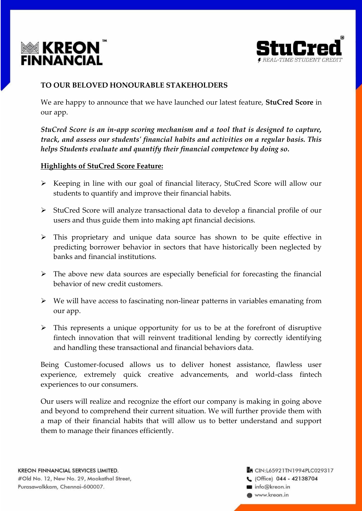



# **TO OUR BELOVED HONOURABLE STAKEHOLDERS**

We are happy to announce that we have launched our latest feature, **StuCred Score** in our app.

*StuCred Score is an in-app scoring mechanism and a tool that is designed to capture, track, and assess our students' financial habits and activities on a regular basis. This helps Students evaluate and quantify their financial competence by doing so.*

#### **Highlights of StuCred Score Feature:**

- $\triangleright$  Keeping in line with our goal of financial literacy, StuCred Score will allow our students to quantify and improve their financial habits.
- $\triangleright$  StuCred Score will analyze transactional data to develop a financial profile of our users and thus guide them into making apt financial decisions.
- $\triangleright$  This proprietary and unique data source has shown to be quite effective in predicting borrower behavior in sectors that have historically been neglected by banks and financial institutions.
- $\triangleright$  The above new data sources are especially beneficial for forecasting the financial behavior of new credit customers.
- $\triangleright$  We will have access to fascinating non-linear patterns in variables emanating from our app.
- $\triangleright$  This represents a unique opportunity for us to be at the forefront of disruptive fintech innovation that will reinvent traditional lending by correctly identifying and handling these transactional and financial behaviors data.

Being Customer-focused allows us to deliver honest assistance, flawless user experience, extremely quick creative advancements, and world-class fintech experiences to our consumers.

Our users will realize and recognize the effort our company is making in going above and beyond to comprehend their current situation. We will further provide them with a map of their financial habits that will allow us to better understand and support them to manage their finances efficiently.